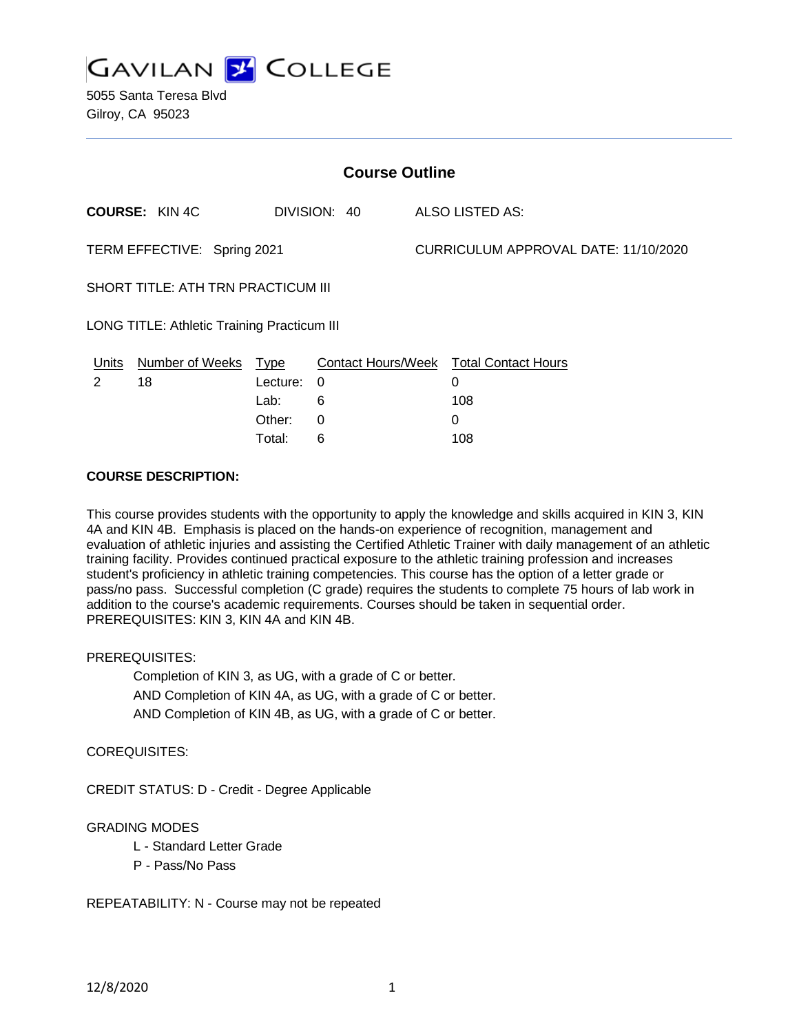

| <b>Course Outline</b>                       |                       |          |              |  |                                        |  |
|---------------------------------------------|-----------------------|----------|--------------|--|----------------------------------------|--|
|                                             | <b>COURSE: KIN 4C</b> |          | DIVISION: 40 |  | ALSO LISTED AS:                        |  |
| TERM EFFECTIVE: Spring 2021                 |                       |          |              |  | CURRICULUM APPROVAL DATE: 11/10/2020   |  |
| SHORT TITLE: ATH TRN PRACTICUM III          |                       |          |              |  |                                        |  |
| LONG TITLE: Athletic Training Practicum III |                       |          |              |  |                                        |  |
| <u>Units</u>                                | Number of Weeks Type  |          |              |  | Contact Hours/Week Total Contact Hours |  |
| 2                                           | 18                    | Lecture: | 0            |  | 0                                      |  |
|                                             |                       | Lab:     | 6            |  | 108                                    |  |
|                                             |                       | Other:   | 0            |  | 0                                      |  |

Total: 6 108

# **COURSE DESCRIPTION:**

This course provides students with the opportunity to apply the knowledge and skills acquired in KIN 3, KIN 4A and KIN 4B. Emphasis is placed on the hands-on experience of recognition, management and evaluation of athletic injuries and assisting the Certified Athletic Trainer with daily management of an athletic training facility. Provides continued practical exposure to the athletic training profession and increases student's proficiency in athletic training competencies. This course has the option of a letter grade or pass/no pass. Successful completion (C grade) requires the students to complete 75 hours of lab work in addition to the course's academic requirements. Courses should be taken in sequential order. PREREQUISITES: KIN 3, KIN 4A and KIN 4B.

PREREQUISITES:

Completion of KIN 3, as UG, with a grade of C or better. AND Completion of KIN 4A, as UG, with a grade of C or better. AND Completion of KIN 4B, as UG, with a grade of C or better.

COREQUISITES:

CREDIT STATUS: D - Credit - Degree Applicable

## GRADING MODES

- L Standard Letter Grade
- P Pass/No Pass

REPEATABILITY: N - Course may not be repeated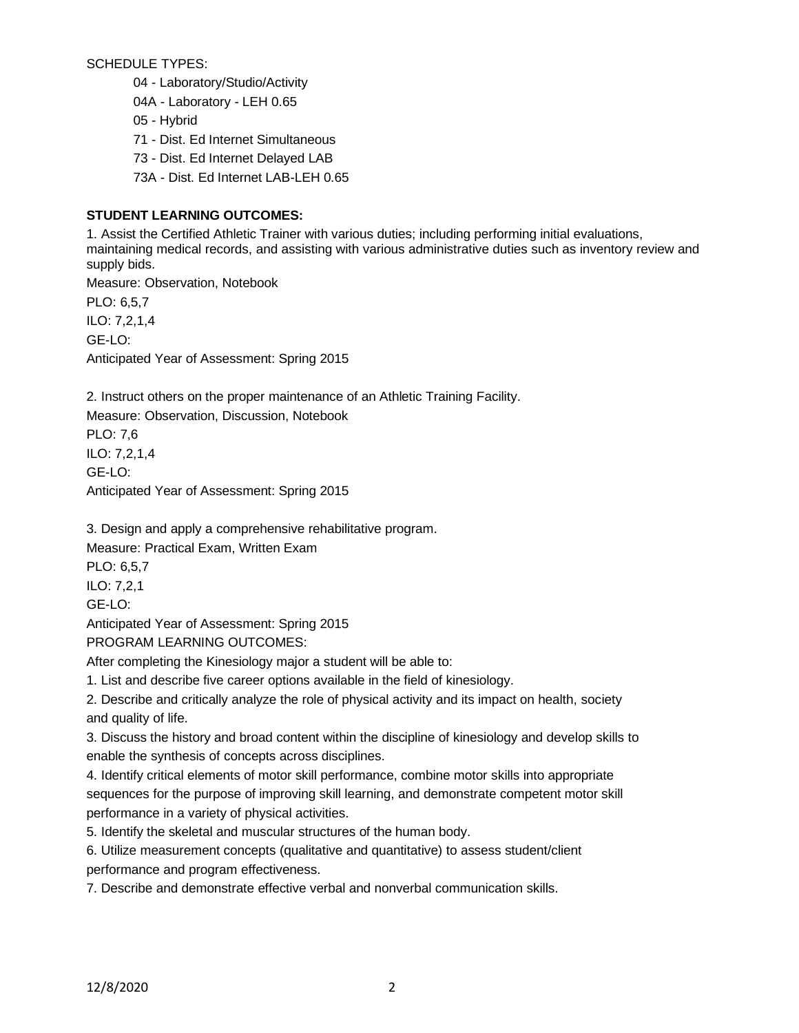SCHEDULE TYPES:

04 - Laboratory/Studio/Activity

04A - Laboratory - LEH 0.65

05 - Hybrid

71 - Dist. Ed Internet Simultaneous

- 73 Dist. Ed Internet Delayed LAB
- 73A Dist. Ed Internet LAB-LEH 0.65

# **STUDENT LEARNING OUTCOMES:**

1. Assist the Certified Athletic Trainer with various duties; including performing initial evaluations, maintaining medical records, and assisting with various administrative duties such as inventory review and supply bids.

Measure: Observation, Notebook PLO: 6,5,7 ILO: 7,2,1,4 GE-LO: Anticipated Year of Assessment: Spring 2015

2. Instruct others on the proper maintenance of an Athletic Training Facility.

Measure: Observation, Discussion, Notebook PLO: 7,6 ILO: 7,2,1,4 GE-LO: Anticipated Year of Assessment: Spring 2015

3. Design and apply a comprehensive rehabilitative program.

Measure: Practical Exam, Written Exam

PLO: 6,5,7

ILO: 7,2,1

GE-LO:

Anticipated Year of Assessment: Spring 2015

PROGRAM LEARNING OUTCOMES:

After completing the Kinesiology major a student will be able to:

1. List and describe five career options available in the field of kinesiology.

2. Describe and critically analyze the role of physical activity and its impact on health, society and quality of life.

3. Discuss the history and broad content within the discipline of kinesiology and develop skills to enable the synthesis of concepts across disciplines.

4. Identify critical elements of motor skill performance, combine motor skills into appropriate sequences for the purpose of improving skill learning, and demonstrate competent motor skill performance in a variety of physical activities.

5. Identify the skeletal and muscular structures of the human body.

6. Utilize measurement concepts (qualitative and quantitative) to assess student/client performance and program effectiveness.

7. Describe and demonstrate effective verbal and nonverbal communication skills.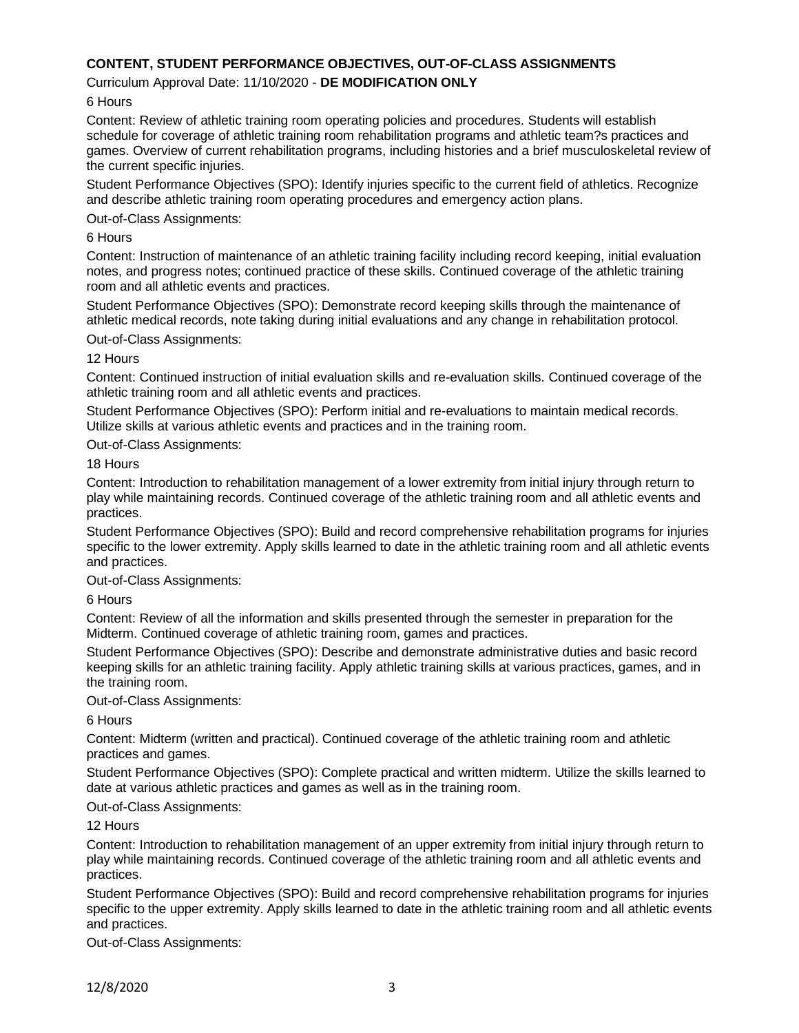## **CONTENT, STUDENT PERFORMANCE OBJECTIVES, OUT-OF-CLASS ASSIGNMENTS**

### Curriculum Approval Date: 11/10/2020 - **DE MODIFICATION ONLY**

6 Hours

Content: Review of athletic training room operating policies and procedures. Students will establish schedule for coverage of athletic training room rehabilitation programs and athletic team?s practices and games. Overview of current rehabilitation programs, including histories and a brief musculoskeletal review of the current specific injuries.

Student Performance Objectives (SPO): Identify injuries specific to the current field of athletics. Recognize and describe athletic training room operating procedures and emergency action plans.

Out-of-Class Assignments:

### 6 Hours

Content: Instruction of maintenance of an athletic training facility including record keeping, initial evaluation notes, and progress notes; continued practice of these skills. Continued coverage of the athletic training room and all athletic events and practices.

Student Performance Objectives (SPO): Demonstrate record keeping skills through the maintenance of athletic medical records, note taking during initial evaluations and any change in rehabilitation protocol.

#### Out-of-Class Assignments:

### 12 Hours

Content: Continued instruction of initial evaluation skills and re-evaluation skills. Continued coverage of the athletic training room and all athletic events and practices.

Student Performance Objectives (SPO): Perform initial and re-evaluations to maintain medical records. Utilize skills at various athletic events and practices and in the training room.

Out-of-Class Assignments:

### 18 Hours

Content: Introduction to rehabilitation management of a lower extremity from initial injury through return to play while maintaining records. Continued coverage of the athletic training room and all athletic events and practices.

Student Performance Objectives (SPO): Build and record comprehensive rehabilitation programs for injuries specific to the lower extremity. Apply skills learned to date in the athletic training room and all athletic events and practices.

Out-of-Class Assignments:

#### 6 Hours

Content: Review of all the information and skills presented through the semester in preparation for the Midterm. Continued coverage of athletic training room, games and practices.

Student Performance Objectives (SPO): Describe and demonstrate administrative duties and basic record keeping skills for an athletic training facility. Apply athletic training skills at various practices, games, and in the training room.

Out-of-Class Assignments:

6 Hours

Content: Midterm (written and practical). Continued coverage of the athletic training room and athletic practices and games.

Student Performance Objectives (SPO): Complete practical and written midterm. Utilize the skills learned to date at various athletic practices and games as well as in the training room.

## Out-of-Class Assignments:

#### 12 Hours

Content: Introduction to rehabilitation management of an upper extremity from initial injury through return to play while maintaining records. Continued coverage of the athletic training room and all athletic events and practices.

Student Performance Objectives (SPO): Build and record comprehensive rehabilitation programs for injuries specific to the upper extremity. Apply skills learned to date in the athletic training room and all athletic events and practices.

Out-of-Class Assignments: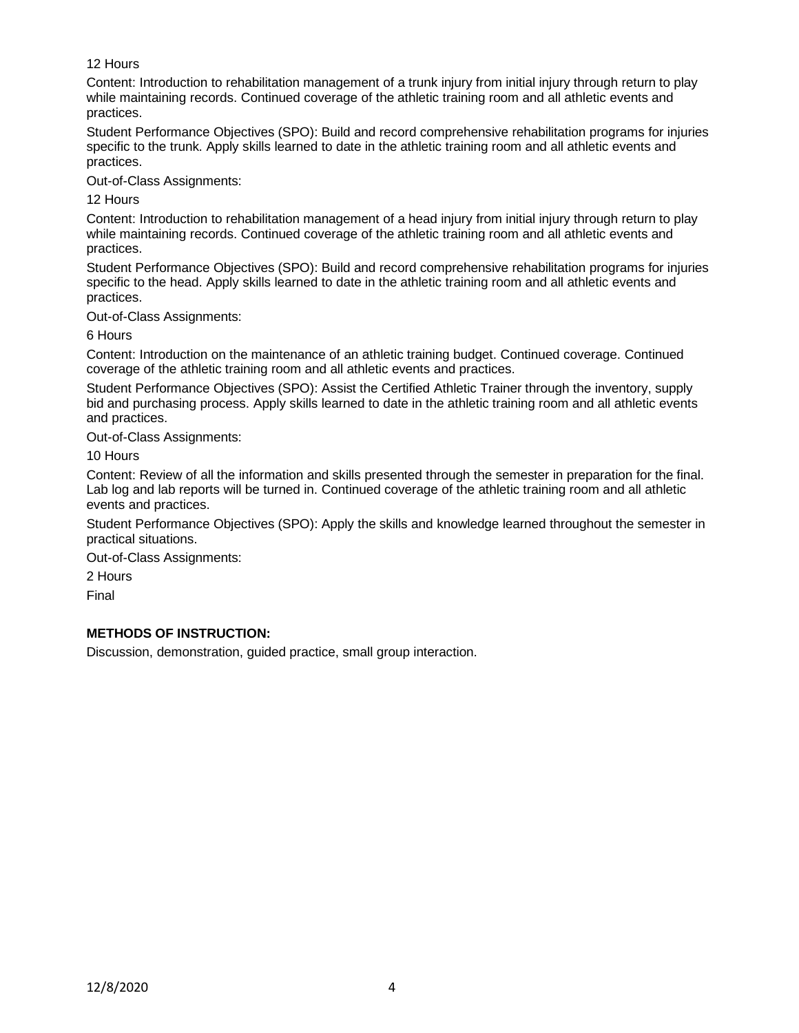# 12 Hours

Content: Introduction to rehabilitation management of a trunk injury from initial injury through return to play while maintaining records. Continued coverage of the athletic training room and all athletic events and practices.

Student Performance Objectives (SPO): Build and record comprehensive rehabilitation programs for injuries specific to the trunk. Apply skills learned to date in the athletic training room and all athletic events and practices.

Out-of-Class Assignments:

12 Hours

Content: Introduction to rehabilitation management of a head injury from initial injury through return to play while maintaining records. Continued coverage of the athletic training room and all athletic events and practices.

Student Performance Objectives (SPO): Build and record comprehensive rehabilitation programs for injuries specific to the head. Apply skills learned to date in the athletic training room and all athletic events and practices.

Out-of-Class Assignments:

6 Hours

Content: Introduction on the maintenance of an athletic training budget. Continued coverage. Continued coverage of the athletic training room and all athletic events and practices.

Student Performance Objectives (SPO): Assist the Certified Athletic Trainer through the inventory, supply bid and purchasing process. Apply skills learned to date in the athletic training room and all athletic events and practices.

Out-of-Class Assignments:

10 Hours

Content: Review of all the information and skills presented through the semester in preparation for the final. Lab log and lab reports will be turned in. Continued coverage of the athletic training room and all athletic events and practices.

Student Performance Objectives (SPO): Apply the skills and knowledge learned throughout the semester in practical situations.

Out-of-Class Assignments:

2 Hours

Final

# **METHODS OF INSTRUCTION:**

Discussion, demonstration, guided practice, small group interaction.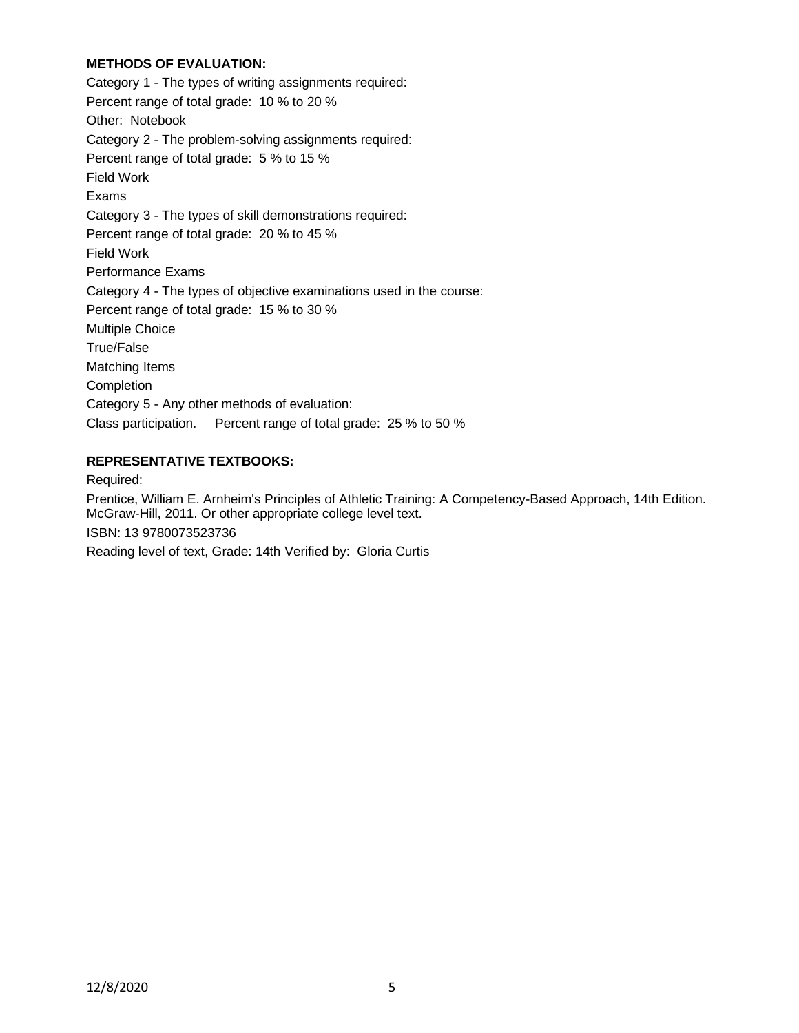## **METHODS OF EVALUATION:**

Category 1 - The types of writing assignments required: Percent range of total grade: 10 % to 20 % Other: Notebook Category 2 - The problem-solving assignments required: Percent range of total grade: 5 % to 15 % Field Work Exams Category 3 - The types of skill demonstrations required: Percent range of total grade: 20 % to 45 % Field Work Performance Exams Category 4 - The types of objective examinations used in the course: Percent range of total grade: 15 % to 30 % Multiple Choice True/False Matching Items Completion Category 5 - Any other methods of evaluation: Class participation. Percent range of total grade: 25 % to 50 %

## **REPRESENTATIVE TEXTBOOKS:**

Required:

Prentice, William E. Arnheim's Principles of Athletic Training: A Competency-Based Approach, 14th Edition. McGraw-Hill, 2011. Or other appropriate college level text.

ISBN: 13 9780073523736

Reading level of text, Grade: 14th Verified by: Gloria Curtis